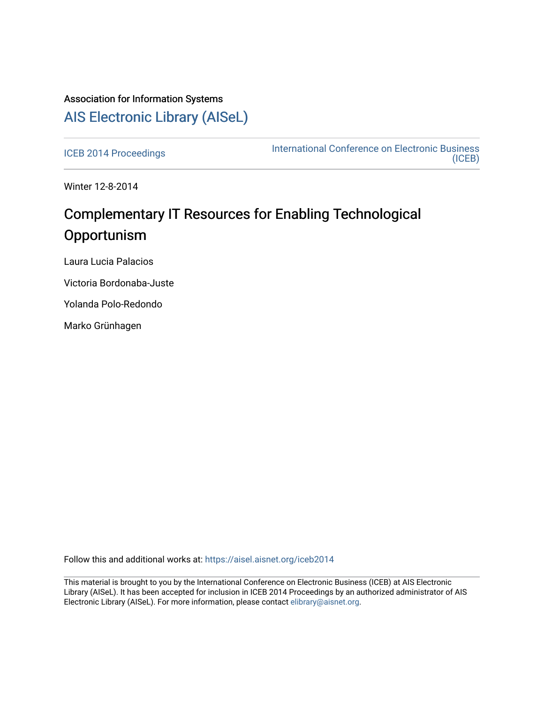## Association for Information Systems [AIS Electronic Library \(AISeL\)](https://aisel.aisnet.org/)

[ICEB 2014 Proceedings](https://aisel.aisnet.org/iceb2014) **International Conference on Electronic Business** [\(ICEB\)](https://aisel.aisnet.org/iceb) 

Winter 12-8-2014

## Complementary IT Resources for Enabling Technological **Opportunism**

Laura Lucia Palacios

Victoria Bordonaba-Juste

Yolanda Polo-Redondo

Marko Grünhagen

Follow this and additional works at: [https://aisel.aisnet.org/iceb2014](https://aisel.aisnet.org/iceb2014?utm_source=aisel.aisnet.org%2Ficeb2014%2F49&utm_medium=PDF&utm_campaign=PDFCoverPages)

This material is brought to you by the International Conference on Electronic Business (ICEB) at AIS Electronic Library (AISeL). It has been accepted for inclusion in ICEB 2014 Proceedings by an authorized administrator of AIS Electronic Library (AISeL). For more information, please contact [elibrary@aisnet.org.](mailto:elibrary@aisnet.org%3E)